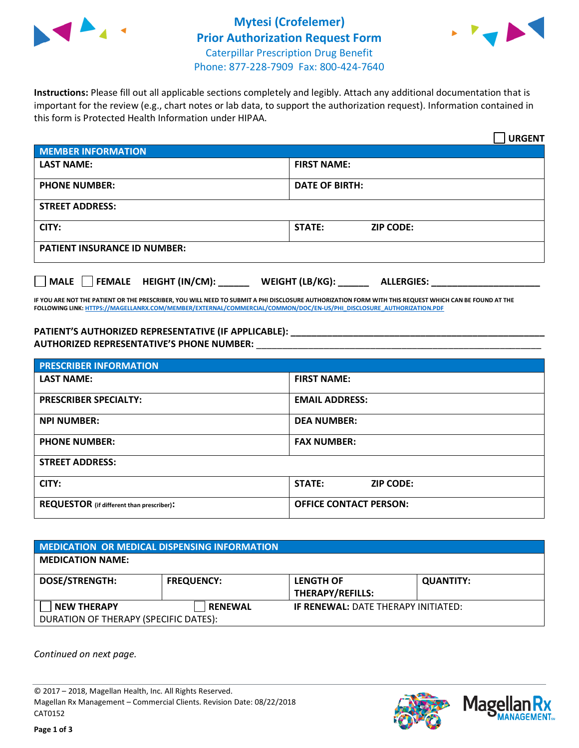



**Instructions:** Please fill out all applicable sections completely and legibly. Attach any additional documentation that is important for the review (e.g., chart notes or lab data, to support the authorization request). Information contained in this form is Protected Health Information under HIPAA.

|                                       | <b>URGENT</b>                        |  |  |  |
|---------------------------------------|--------------------------------------|--|--|--|
| <b>MEMBER INFORMATION</b>             |                                      |  |  |  |
| <b>LAST NAME:</b>                     | <b>FIRST NAME:</b>                   |  |  |  |
| <b>PHONE NUMBER:</b>                  | <b>DATE OF BIRTH:</b>                |  |  |  |
| <b>STREET ADDRESS:</b>                |                                      |  |  |  |
| CITY:                                 | <b>ZIP CODE:</b><br>STATE:           |  |  |  |
| <b>PATIENT INSURANCE ID NUMBER:</b>   |                                      |  |  |  |
| FEMALE HEIGHT (IN/CM):<br><b>MALE</b> | WEIGHT (LB/KG):<br><b>ALLERGIES:</b> |  |  |  |

**IF YOU ARE NOT THE PATIENT OR THE PRESCRIBER, YOU WILL NEED TO SUBMIT A PHI DISCLOSURE AUTHORIZATION FORM WITH THIS REQUEST WHICH CAN BE FOUND AT THE FOLLOWING LINK[: HTTPS://MAGELLANRX.COM/MEMBER/EXTERNAL/COMMERCIAL/COMMON/DOC/EN-US/PHI\\_DISCLOSURE\\_AUTHORIZATION.PDF](https://magellanrx.com/member/external/commercial/common/doc/en-us/PHI_Disclosure_Authorization.pdf)**

**PATIENT'S AUTHORIZED REPRESENTATIVE (IF APPLICABLE): \_\_\_\_\_\_\_\_\_\_\_\_\_\_\_\_\_\_\_\_\_\_\_\_\_\_\_\_\_\_\_\_\_\_\_\_\_\_\_\_\_\_\_\_\_\_\_\_\_ AUTHORIZED REPRESENTATIVE'S PHONE NUMBER:** \_\_\_\_\_\_\_\_\_\_\_\_\_\_\_\_\_\_\_\_\_\_\_\_\_\_\_\_\_\_\_\_\_\_\_\_\_\_\_\_\_\_\_\_\_\_\_\_\_\_\_\_\_\_\_

| <b>PRESCRIBER INFORMATION</b>             |                                   |  |  |
|-------------------------------------------|-----------------------------------|--|--|
| <b>LAST NAME:</b>                         | <b>FIRST NAME:</b>                |  |  |
| <b>PRESCRIBER SPECIALTY:</b>              | <b>EMAIL ADDRESS:</b>             |  |  |
| <b>NPI NUMBER:</b>                        | <b>DEA NUMBER:</b>                |  |  |
| <b>PHONE NUMBER:</b>                      | <b>FAX NUMBER:</b>                |  |  |
| <b>STREET ADDRESS:</b>                    |                                   |  |  |
| CITY:                                     | <b>STATE:</b><br><b>ZIP CODE:</b> |  |  |
| REQUESTOR (if different than prescriber): | <b>OFFICE CONTACT PERSON:</b>     |  |  |

| <b>MEDICATION OR MEDICAL DISPENSING INFORMATION</b>         |                   |                                             |                  |  |  |
|-------------------------------------------------------------|-------------------|---------------------------------------------|------------------|--|--|
| <b>MEDICATION NAME:</b>                                     |                   |                                             |                  |  |  |
| <b>DOSE/STRENGTH:</b>                                       | <b>FREQUENCY:</b> | <b>LENGTH OF</b><br><b>THERAPY/REFILLS:</b> | <b>QUANTITY:</b> |  |  |
| <b>NEW THERAPY</b><br>DURATION OF THERAPY (SPECIFIC DATES): | <b>RENEWAL</b>    | <b>IF RENEWAL: DATE THERAPY INITIATED:</b>  |                  |  |  |

*Continued on next page.*

© 2017 – 2018, Magellan Health, Inc. All Rights Reserved. Magellan Rx Management – Commercial Clients. Revision Date: 08/22/2018 CAT0152



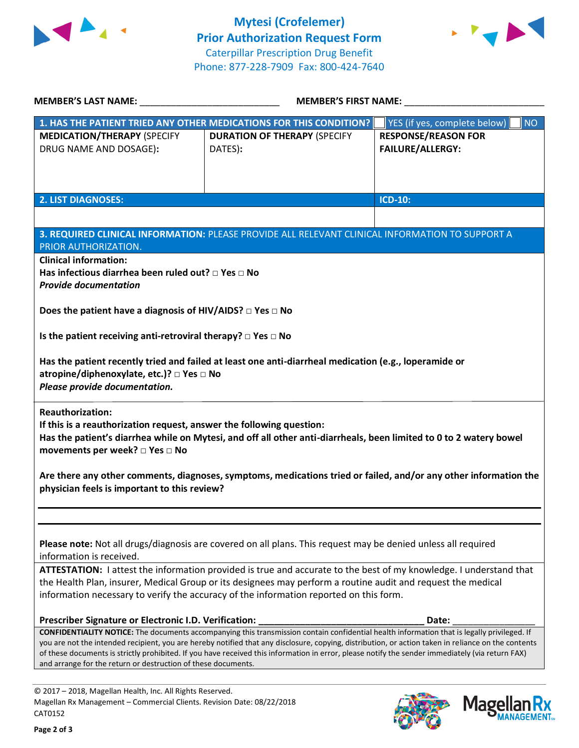



| <b>MEMBER'S LAST NAME:</b>                                                                                                                                                          | <b>MEMBER'S FIRST NAME:</b>                                                                                                                                                                                                                                                                                                                                                                                                                            |                                                       |  |  |
|-------------------------------------------------------------------------------------------------------------------------------------------------------------------------------------|--------------------------------------------------------------------------------------------------------------------------------------------------------------------------------------------------------------------------------------------------------------------------------------------------------------------------------------------------------------------------------------------------------------------------------------------------------|-------------------------------------------------------|--|--|
|                                                                                                                                                                                     | 1. HAS THE PATIENT TRIED ANY OTHER MEDICATIONS FOR THIS CONDITION?                                                                                                                                                                                                                                                                                                                                                                                     | YES (if yes, complete below)<br><b>NO</b>             |  |  |
| <b>MEDICATION/THERAPY (SPECIFY</b><br>DRUG NAME AND DOSAGE):                                                                                                                        | <b>DURATION OF THERAPY (SPECIFY</b><br>DATES):                                                                                                                                                                                                                                                                                                                                                                                                         | <b>RESPONSE/REASON FOR</b><br><b>FAILURE/ALLERGY:</b> |  |  |
| <b>2. LIST DIAGNOSES:</b>                                                                                                                                                           |                                                                                                                                                                                                                                                                                                                                                                                                                                                        | <b>ICD-10:</b>                                        |  |  |
|                                                                                                                                                                                     |                                                                                                                                                                                                                                                                                                                                                                                                                                                        |                                                       |  |  |
| PRIOR AUTHORIZATION.<br><b>Clinical information:</b>                                                                                                                                | 3. REQUIRED CLINICAL INFORMATION: PLEASE PROVIDE ALL RELEVANT CLINICAL INFORMATION TO SUPPORT A                                                                                                                                                                                                                                                                                                                                                        |                                                       |  |  |
| Has infectious diarrhea been ruled out? □ Yes □ No<br><b>Provide documentation</b>                                                                                                  |                                                                                                                                                                                                                                                                                                                                                                                                                                                        |                                                       |  |  |
| Does the patient have a diagnosis of HIV/AIDS? $\Box$ Yes $\Box$ No                                                                                                                 |                                                                                                                                                                                                                                                                                                                                                                                                                                                        |                                                       |  |  |
| Is the patient receiving anti-retroviral therapy? $\Box$ Yes $\Box$ No                                                                                                              |                                                                                                                                                                                                                                                                                                                                                                                                                                                        |                                                       |  |  |
| Has the patient recently tried and failed at least one anti-diarrheal medication (e.g., loperamide or<br>atropine/diphenoxylate, etc.)? □ Yes □ No<br>Please provide documentation. |                                                                                                                                                                                                                                                                                                                                                                                                                                                        |                                                       |  |  |
| <b>Reauthorization:</b><br>If this is a reauthorization request, answer the following question:<br>movements per week? $\square$ Yes $\square$ No                                   | Has the patient's diarrhea while on Mytesi, and off all other anti-diarrheals, been limited to 0 to 2 watery bowel                                                                                                                                                                                                                                                                                                                                     |                                                       |  |  |
| Are there any other comments, diagnoses, symptoms, medications tried or failed, and/or any other information the<br>physician feels is important to this review?                    |                                                                                                                                                                                                                                                                                                                                                                                                                                                        |                                                       |  |  |
|                                                                                                                                                                                     |                                                                                                                                                                                                                                                                                                                                                                                                                                                        |                                                       |  |  |
| information is received.                                                                                                                                                            | Please note: Not all drugs/diagnosis are covered on all plans. This request may be denied unless all required                                                                                                                                                                                                                                                                                                                                          |                                                       |  |  |
| ATTESTATION: I attest the information provided is true and accurate to the best of my knowledge. I understand that                                                                  |                                                                                                                                                                                                                                                                                                                                                                                                                                                        |                                                       |  |  |
|                                                                                                                                                                                     | the Health Plan, insurer, Medical Group or its designees may perform a routine audit and request the medical<br>information necessary to verify the accuracy of the information reported on this form.                                                                                                                                                                                                                                                 |                                                       |  |  |
| Prescriber Signature or Electronic I.D. Verification:                                                                                                                               |                                                                                                                                                                                                                                                                                                                                                                                                                                                        | Date:                                                 |  |  |
| and arrange for the return or destruction of these documents.                                                                                                                       | CONFIDENTIALITY NOTICE: The documents accompanying this transmission contain confidential health information that is legally privileged. If<br>you are not the intended recipient, you are hereby notified that any disclosure, copying, distribution, or action taken in reliance on the contents<br>of these documents is strictly prohibited. If you have received this information in error, please notify the sender immediately (via return FAX) |                                                       |  |  |
|                                                                                                                                                                                     |                                                                                                                                                                                                                                                                                                                                                                                                                                                        |                                                       |  |  |
| © 2017 - 2018, Magellan Health, Inc. All Rights Reserved.                                                                                                                           |                                                                                                                                                                                                                                                                                                                                                                                                                                                        |                                                       |  |  |

CAT0152

Magellan Rx Management – Commercial Clients. Revision Date: 08/22/2018



Mage

**an Rx<br><sup>NAGEMENT...**</sup>